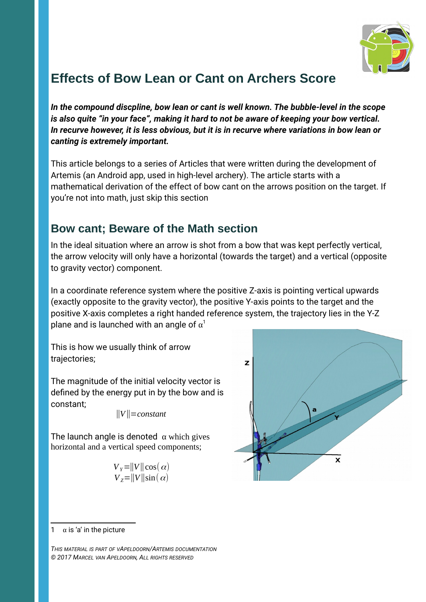

## **Effects of Bow Lean or Cant on Archers Score**

*In the compound discpline, bow lean or cant is well known. The bubble-level in the scope is also quite "in your face", making it hard to not be aware of keeping your bow vertical. In recurve however, it is less obvious, but it is in recurve where variations in bow lean or canting is extremely important.*

This article belongs to a series of Articles that were written during the development of Artemis (an Android app, used in high-level archery). The article starts with a mathematical derivation of the effect of bow cant on the arrows position on the target. If you're not into math, just skip this section

## **Bow cant; Beware of the Math section**

In the ideal situation where an arrow is shot from a bow that was kept perfectly vertical, the arrow velocity will only have a horizontal (towards the target) and a vertical (opposite to gravity vector) component.

In a coordinate reference system where the positive Z-axis is pointing vertical upwards (exactly opposite to the gravity vector), the positive Y-axis points to the target and the positive X-axis completes a right handed reference system, the trajectory lies in the Y-Z plane and is launched with an angle of  $\alpha^1$  $\alpha^1$ 

This is how we usually think of arrow trajectories;

The magnitude of the initial velocity vector is defined by the energy put in by the bow and is constant;

‖*V*‖=*constant*

The launch angle is denoted  $\alpha$  which gives horizontal and a vertical speed components;

$$
V_{Y} = ||V|| \cos(\alpha)
$$
  
\n
$$
V_{Z} = ||V|| \sin(\alpha)
$$



*THIS MATERIAL IS PART OF VAPELDOORN/ARTEMIS DOCUMENTATION © 2017 MARCEL VAN APELDOORN, ALL RIGHTS RESERVED*

<span id="page-0-0"></span><sup>1</sup>  $\alpha$  is 'a' in the picture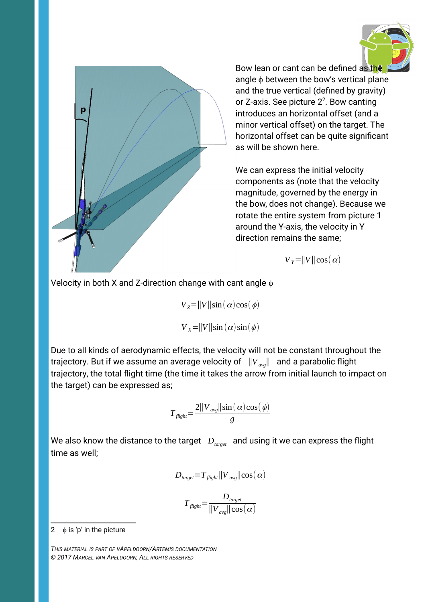



Bow lean or cant can be defined as the angle  $\phi$  between the bow's vertical plane and the true vertical (defined by gravity) or Z-axis. See picture  $2^2$  $2^2$ . Bow canting introduces an horizontal offset (and a minor vertical offset) on the target. The horizontal offset can be quite significant as will be shown here.

We can express the initial velocity components as (note that the velocity magnitude, governed by the energy in the bow, does not change). Because we rotate the entire system from picture 1 around the Y-axis, the velocity in Y direction remains the same;

 $V_Y = ||V|| \cos(\alpha)$ 

Velocity in both X and Z-direction change with cant angle  $\phi$ 

 $V_z = ||V|| \sin(\alpha) \cos(\phi)$  $V_x = ||V|| \sin(\alpha) \sin(\phi)$ 

Due to all kinds of aerodynamic effects, the velocity will not be constant throughout the trajectory. But if we assume an average velocity of ‖*Vavg*‖ and a parabolic flight trajectory, the total flight time (the time it takes the arrow from initial launch to impact on the target) can be expressed as;

$$
T_{\text{flight}} = \frac{2||V_{\text{avg}}||\sin(\alpha)\cos(\phi)}{g}
$$

We also know the distance to the target *D*<sub>target</sub> and using it we can express the flight time as well;

$$
D_{\text{target}} = T_{\text{flight}} ||V_{\text{avg}}|| \cos(\alpha)
$$

$$
T_{\text{flight}} = \frac{D_{\text{target}}}{\|V_{\text{avg}}\| \cos(\alpha)}
$$

<span id="page-1-0"></span>2  $\phi$  is 'p' in the picture

*THIS MATERIAL IS PART OF VAPELDOORN/ARTEMIS DOCUMENTATION © 2017 MARCEL VAN APELDOORN, ALL RIGHTS RESERVED*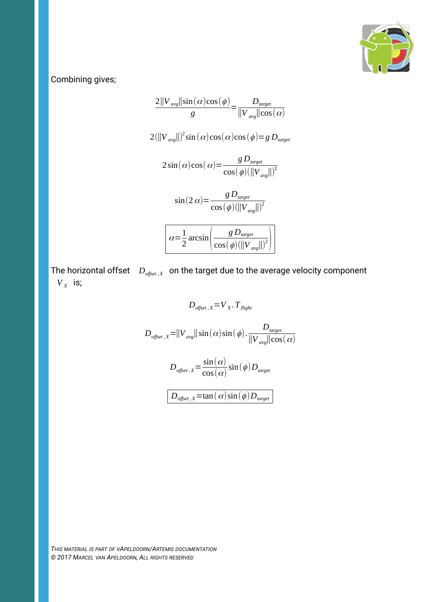

Combining gives;

$$
\frac{2||V_{avg}||\sin(\alpha)\cos(\phi)}{g} = \frac{D_{target}}{||V_{avg}||\cos(\alpha)}
$$
  

$$
2(||V_{avg}||)^{2}\sin(\alpha)\cos(\alpha)\cos(\phi) = g D_{target}
$$
  

$$
2\sin(\alpha)\cos(\alpha) = \frac{g D_{target}}{\cos(\phi)(||V_{avg}||)^{2}}
$$
  

$$
\sin(2 \alpha) = \frac{g D_{target}}{\cos(\phi)(||V_{avg}||)^{2}}
$$
  

$$
\alpha = \frac{1}{2}\arcsin\left(\frac{g D_{target}}{\cos(\phi)(||V_{avg}||)^{2}}\right)
$$

The horizontal offset *Doffset , <sup>X</sup>* on the target due to the average velocity component  $V_X$  is;

$$
D_{offset, X} = V_X. T_{flight}
$$
  
\n
$$
D_{offset, X} = ||V_{avg}|| \sin(\alpha) \sin(\phi). \frac{D_{target}}{||V_{avg}|| \cos(\alpha)}
$$
  
\n
$$
D_{offset, X} = \frac{\sin(\alpha)}{\cos(\alpha)} \sin(\phi) D_{target}
$$
  
\n
$$
D_{offset, X} = \tan(\alpha) \sin(\phi) D_{target}
$$

*THIS MATERIAL IS PART OF VAPELDOORN/ARTEMIS DOCUMENTATION © 2017 MARCEL VAN APELDOORN, ALL RIGHTS RESERVED*